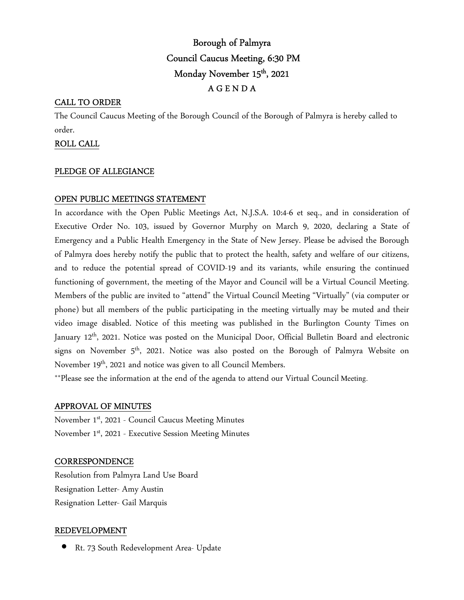# Borough of Palmyra Council Caucus Meeting, 6:30 PM Monday November 15<sup>th</sup>, 2021 A G E N D A

## CALL TO ORDER

The Council Caucus Meeting of the Borough Council of the Borough of Palmyra is hereby called to order.

### ROLL CALL

### PLEDGE OF ALLEGIANCE

## OPEN PUBLIC MEETINGS STATEMENT

In accordance with the Open Public Meetings Act, N.J.S.A. 10:4-6 et seq., and in consideration of Executive Order No. 103, issued by Governor Murphy on March 9, 2020, declaring a State of Emergency and a Public Health Emergency in the State of New Jersey. Please be advised the Borough of Palmyra does hereby notify the public that to protect the health, safety and welfare of our citizens, and to reduce the potential spread of COVID-19 and its variants, while ensuring the continued functioning of government, the meeting of the Mayor and Council will be a Virtual Council Meeting. Members of the public are invited to "attend" the Virtual Council Meeting "Virtually" (via computer or phone) but all members of the public participating in the meeting virtually may be muted and their video image disabled. Notice of this meeting was published in the Burlington County Times on January 12<sup>th</sup>, 2021. Notice was posted on the Municipal Door, Official Bulletin Board and electronic signs on November  $5<sup>th</sup>$ , 2021. Notice was also posted on the Borough of Palmyra Website on November 19<sup>th</sup>, 2021 and notice was given to all Council Members.

\*\*Please see the information at the end of the agenda to attend our Virtual Council Meeting.

### APPROVAL OF MINUTES

November 1st, 2021 - Council Caucus Meeting Minutes November 1st, 2021 - Executive Session Meeting Minutes

### **CORRESPONDENCE**

Resolution from Palmyra Land Use Board Resignation Letter- Amy Austin Resignation Letter- Gail Marquis

### REDEVELOPMENT

• Rt. 73 South Redevelopment Area- Update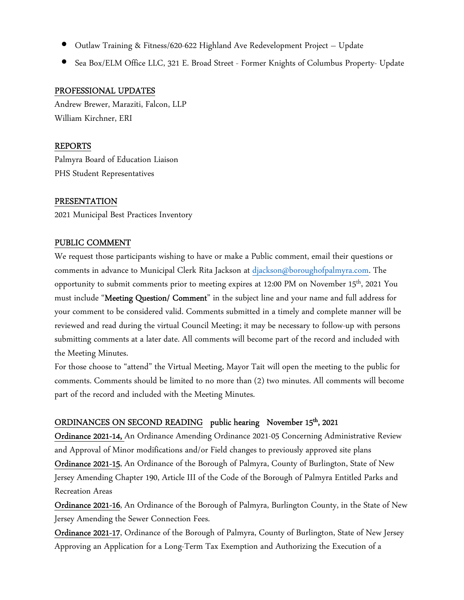- Outlaw Training & Fitness/620-622 Highland Ave Redevelopment Project Update
- Sea Box/ELM Office LLC, 321 E. Broad Street Former Knights of Columbus Property- Update

## PROFESSIONAL UPDATES

Andrew Brewer, Maraziti, Falcon, LLP William Kirchner, ERI

## REPORTS

Palmyra Board of Education Liaison PHS Student Representatives

## PRESENTATION

2021 Municipal Best Practices Inventory

## PUBLIC COMMENT

We request those participants wishing to have or make a Public comment, email their questions or comments in advance to Municipal Clerk Rita Jackson at djackson@boroughofpalmyra.com. The opportunity to submit comments prior to meeting expires at 12:00 PM on November 15th, 2021 You must include "Meeting Question/ Comment" in the subject line and your name and full address for your comment to be considered valid. Comments submitted in a timely and complete manner will be reviewed and read during the virtual Council Meeting; it may be necessary to follow-up with persons submitting comments at a later date. All comments will become part of the record and included with the Meeting Minutes.

For those choose to "attend" the Virtual Meeting, Mayor Tait will open the meeting to the public for comments. Comments should be limited to no more than (2) two minutes. All comments will become part of the record and included with the Meeting Minutes.

## ORDINANCES ON SECOND READING public hearing November 15<sup>th</sup>, 2021

Ordinance 2021-14, An Ordinance Amending Ordinance 2021-05 Concerning Administrative Review and Approval of Minor modifications and/or Field changes to previously approved site plans

Ordinance 2021-15, An Ordinance of the Borough of Palmyra, County of Burlington, State of New Jersey Amending Chapter 190, Article III of the Code of the Borough of Palmyra Entitled Parks and Recreation Areas

Ordinance 2021-16, An Ordinance of the Borough of Palmyra, Burlington County, in the State of New Jersey Amending the Sewer Connection Fees.

Ordinance 2021-17, Ordinance of the Borough of Palmyra, County of Burlington, State of New Jersey Approving an Application for a Long-Term Tax Exemption and Authorizing the Execution of a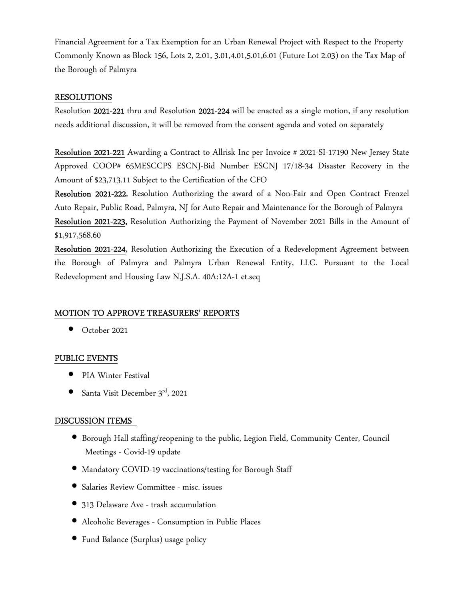Financial Agreement for a Tax Exemption for an Urban Renewal Project with Respect to the Property Commonly Known as Block 156, Lots 2, 2.01, 3.01,4.01,5.01,6.01 (Future Lot 2.03) on the Tax Map of the Borough of Palmyra

### RESOLUTIONS

Resolution 2021-221 thru and Resolution 2021-224 will be enacted as a single motion, if any resolution needs additional discussion, it will be removed from the consent agenda and voted on separately

Resolution 2021-221 Awarding a Contract to Allrisk Inc per Invoice # 2021-SI-17190 New Jersey State Approved COOP# 65MESCCPS ESCNJ-Bid Number ESCNJ 17/18-34 Disaster Recovery in the Amount of \$23,713.11 Subject to the Certification of the CFO

Resolution 2021-222, Resolution Authorizing the award of a Non-Fair and Open Contract Frenzel Auto Repair, Public Road, Palmyra, NJ for Auto Repair and Maintenance for the Borough of Palmyra Resolution 2021-223, Resolution Authorizing the Payment of November 2021 Bills in the Amount of \$1,917,568.60

Resolution 2021-224, Resolution Authorizing the Execution of a Redevelopment Agreement between the Borough of Palmyra and Palmyra Urban Renewal Entity, LLC. Pursuant to the Local Redevelopment and Housing Law N.J.S.A. 40A:12A-1 et.seq

### MOTION TO APPROVE TREASURERS' REPORTS

• October 2021

#### PUBLIC EVENTS

- PIA Winter Festival
- Santa Visit December 3rd, 2021

## DISCUSSION ITEMS

- Borough Hall staffing/reopening to the public, Legion Field, Community Center, Council Meetings - Covid-19 update
- Mandatory COVID-19 vaccinations/testing for Borough Staff
- Salaries Review Committee misc. issues
- 313 Delaware Ave trash accumulation
- Alcoholic Beverages Consumption in Public Places
- Fund Balance (Surplus) usage policy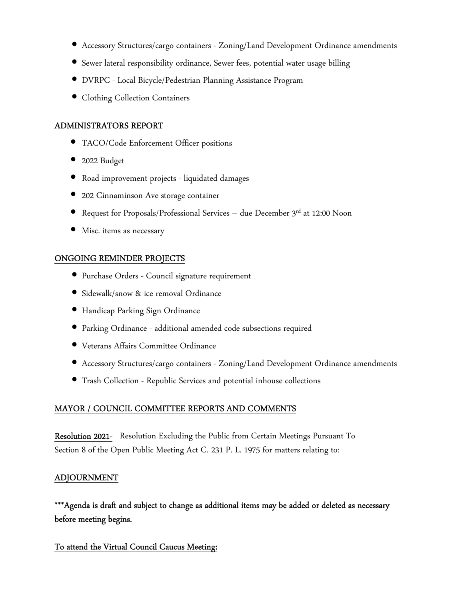- Accessory Structures/cargo containers Zoning/Land Development Ordinance amendments
- Sewer lateral responsibility ordinance, Sewer fees, potential water usage billing
- DVRPC Local Bicycle/Pedestrian Planning Assistance Program
- Clothing Collection Containers

### ADMINISTRATORS REPORT

- TACO/Code Enforcement Officer positions
- 2022 Budget
- Road improvement projects liquidated damages
- 202 Cinnaminson Ave storage container
- Request for Proposals/Professional Services due December  $3^{\text{rd}}$  at 12:00 Noon
- Misc. items as necessary

## ONGOING REMINDER PROJECTS

- Purchase Orders Council signature requirement
- Sidewalk/snow & ice removal Ordinance
- Handicap Parking Sign Ordinance
- Parking Ordinance additional amended code subsections required
- Veterans Affairs Committee Ordinance
- Accessory Structures/cargo containers Zoning/Land Development Ordinance amendments
- Trash Collection Republic Services and potential inhouse collections

## MAYOR / COUNCIL COMMITTEE REPORTS AND COMMENTS

Resolution 2021- Resolution Excluding the Public from Certain Meetings Pursuant To Section 8 of the Open Public Meeting Act C. 231 P. L. 1975 for matters relating to:

## ADJOURNMENT

\*\*\*Agenda is draft and subject to change as additional items may be added or deleted as necessary before meeting begins.

## To attend the Virtual Council Caucus Meeting: